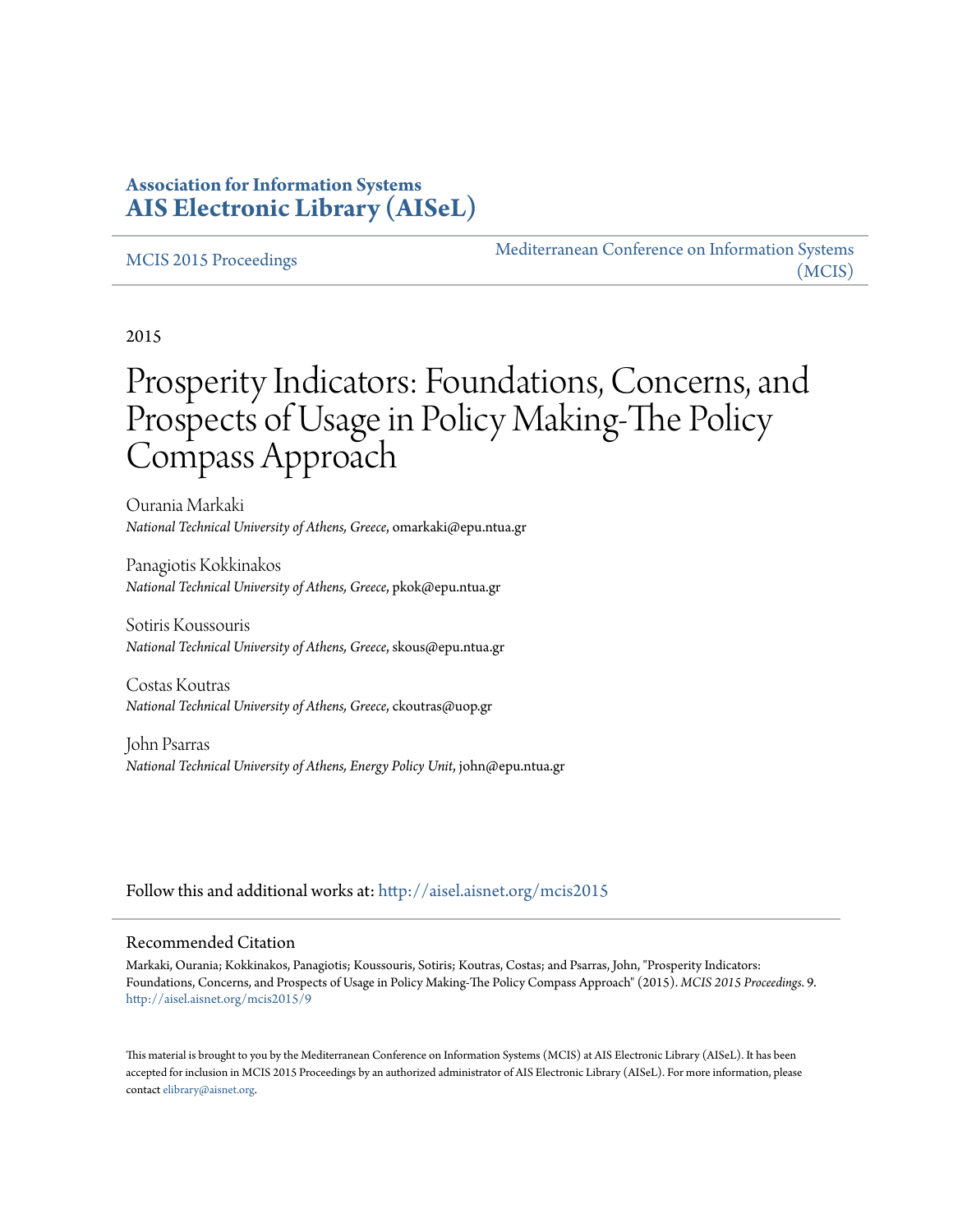### **Association for Information Systems [AIS Electronic Library \(AISeL\)](http://aisel.aisnet.org?utm_source=aisel.aisnet.org%2Fmcis2015%2F9&utm_medium=PDF&utm_campaign=PDFCoverPages)**

#### [MCIS 2015 Proceedings](http://aisel.aisnet.org/mcis2015?utm_source=aisel.aisnet.org%2Fmcis2015%2F9&utm_medium=PDF&utm_campaign=PDFCoverPages)

[Mediterranean Conference on Information Systems](http://aisel.aisnet.org/mcis?utm_source=aisel.aisnet.org%2Fmcis2015%2F9&utm_medium=PDF&utm_campaign=PDFCoverPages) [\(MCIS\)](http://aisel.aisnet.org/mcis?utm_source=aisel.aisnet.org%2Fmcis2015%2F9&utm_medium=PDF&utm_campaign=PDFCoverPages)

2015

# Prosperity Indicators: Foundations, Concerns, and Prospects of Usage in Policy Making-The Policy Compass Approach

Ourania Markaki *National Technical University of Athens, Greece*, omarkaki@epu.ntua.gr

Panagiotis Kokkinakos *National Technical University of Athens, Greece*, pkok@epu.ntua.gr

Sotiris Koussouris *National Technical University of Athens, Greece*, skous@epu.ntua.gr

Costas Koutras *National Technical University of Athens, Greece*, ckoutras@uop.gr

John Psarras *National Technical University of Athens, Energy Policy Unit*, john@epu.ntua.gr

Follow this and additional works at: [http://aisel.aisnet.org/mcis2015](http://aisel.aisnet.org/mcis2015?utm_source=aisel.aisnet.org%2Fmcis2015%2F9&utm_medium=PDF&utm_campaign=PDFCoverPages)

#### Recommended Citation

Markaki, Ourania; Kokkinakos, Panagiotis; Koussouris, Sotiris; Koutras, Costas; and Psarras, John, "Prosperity Indicators: Foundations, Concerns, and Prospects of Usage in Policy Making-The Policy Compass Approach" (2015). *MCIS 2015 Proceedings*. 9. [http://aisel.aisnet.org/mcis2015/9](http://aisel.aisnet.org/mcis2015/9?utm_source=aisel.aisnet.org%2Fmcis2015%2F9&utm_medium=PDF&utm_campaign=PDFCoverPages)

This material is brought to you by the Mediterranean Conference on Information Systems (MCIS) at AIS Electronic Library (AISeL). It has been accepted for inclusion in MCIS 2015 Proceedings by an authorized administrator of AIS Electronic Library (AISeL). For more information, please contact [elibrary@aisnet.org.](mailto:elibrary@aisnet.org%3E)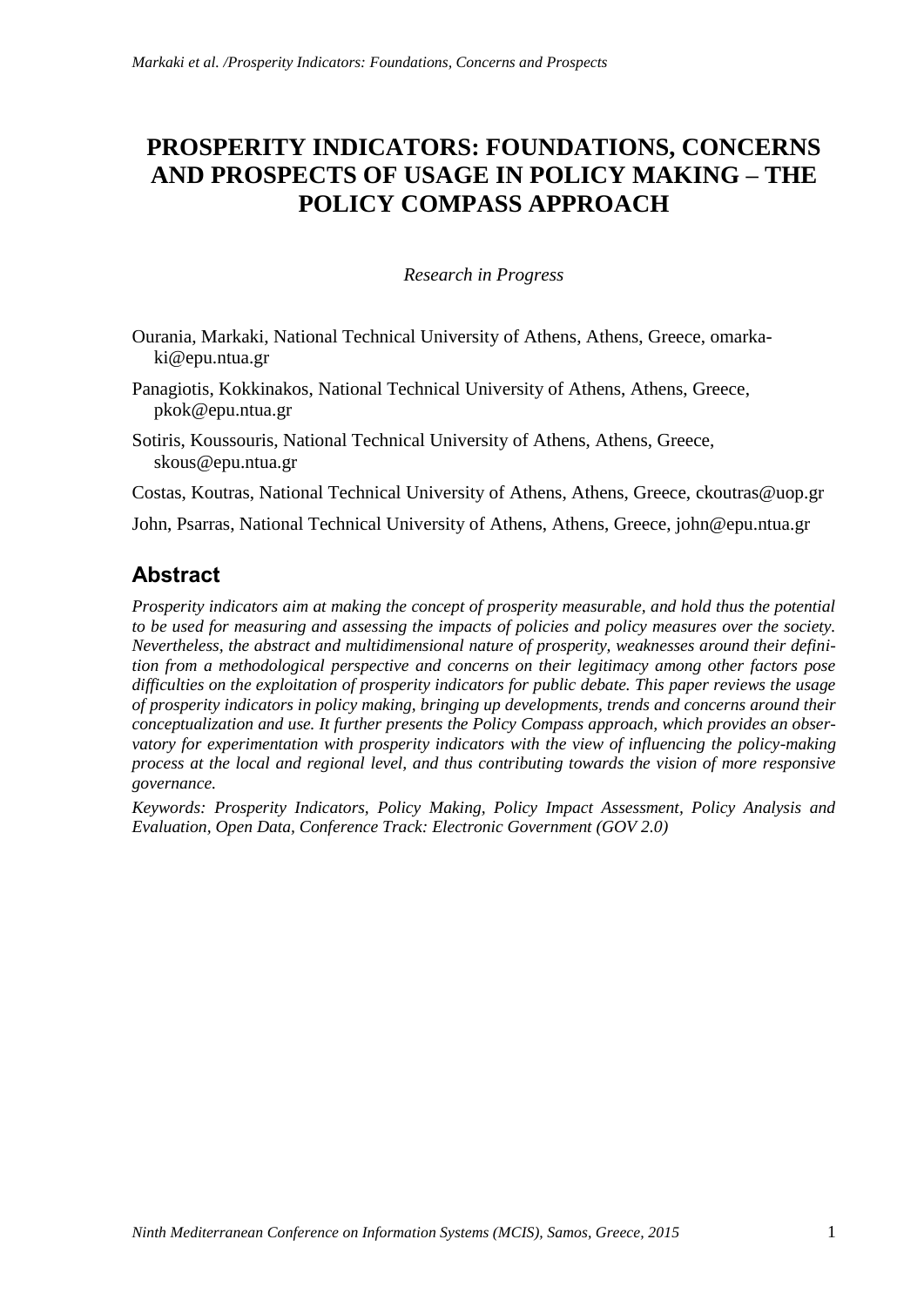# **PROSPERITY INDICATORS: FOUNDATIONS, CONCERNS AND PROSPECTS OF USAGE IN POLICY MAKING – THE POLICY COMPASS APPROACH**

#### *Research in Progress*

- Ourania, Markaki, National Technical University of Athens, Athens, Greece, omarkaki@epu.ntua.gr
- Panagiotis, Kokkinakos, National Technical University of Athens, Athens, Greece, pkok@epu.ntua.gr
- Sotiris, Koussouris, National Technical University of Athens, Athens, Greece, skous@epu.ntua.gr

Costas, Koutras, National Technical University of Athens, Athens, Greece, ckoutras@uop.gr

John, Psarras, National Technical University of Athens, Athens, Greece, john@epu.ntua.gr

### **Abstract**

*Prosperity indicators aim at making the concept of prosperity measurable, and hold thus the potential to be used for measuring and assessing the impacts of policies and policy measures over the society. Nevertheless, the abstract and multidimensional nature of prosperity, weaknesses around their definition from a methodological perspective and concerns on their legitimacy among other factors pose difficulties on the exploitation of prosperity indicators for public debate. This paper reviews the usage of prosperity indicators in policy making, bringing up developments, trends and concerns around their conceptualization and use. It further presents the Policy Compass approach, which provides an observatory for experimentation with prosperity indicators with the view of influencing the policy-making process at the local and regional level, and thus contributing towards the vision of more responsive governance.*

*Keywords: Prosperity Indicators, Policy Making, Policy Impact Assessment, Policy Analysis and Evaluation, Open Data, Conference Track: Electronic Government (GOV 2.0)*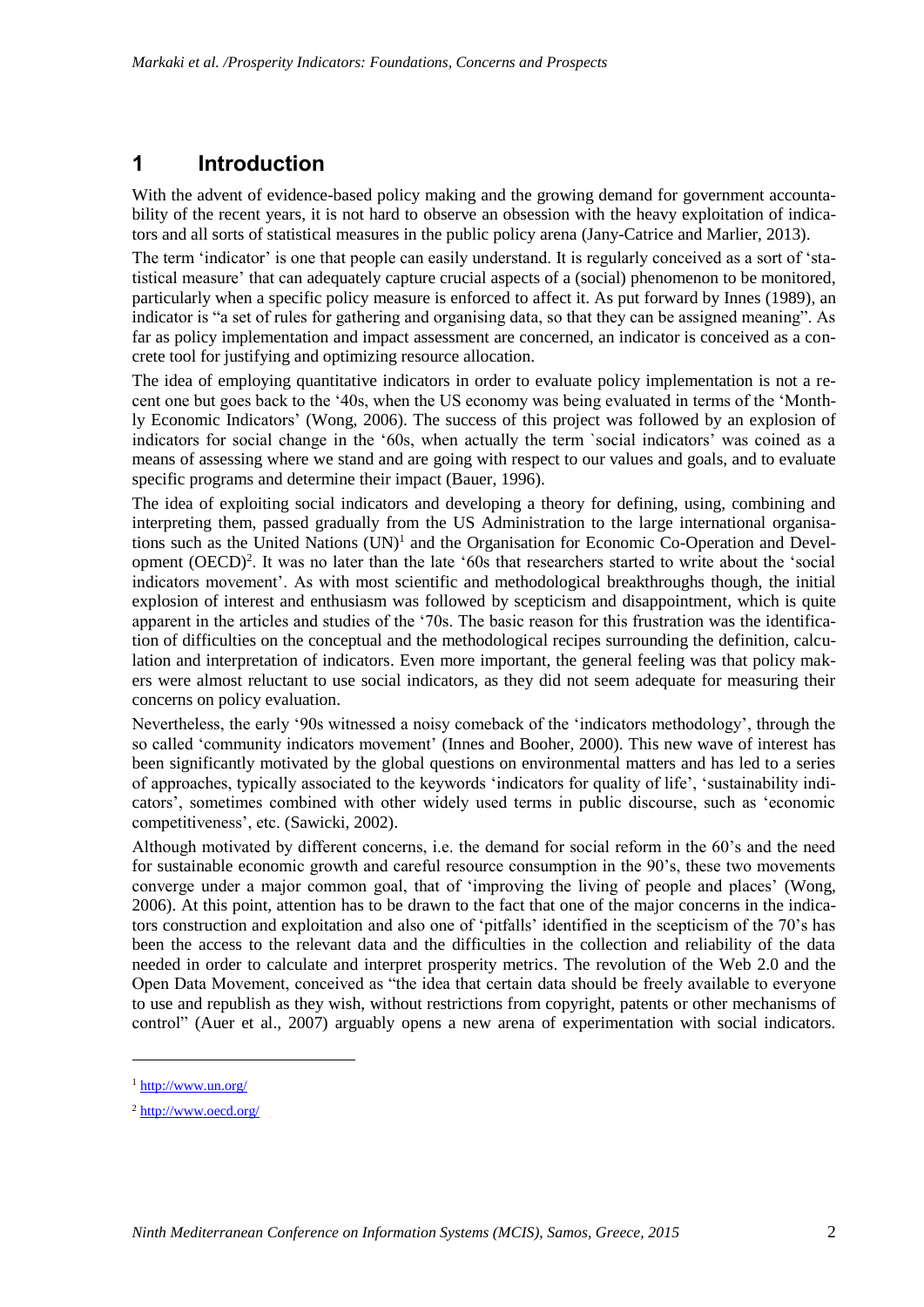### **1 Introduction**

With the advent of evidence-based policy making and the growing demand for government accountability of the recent years, it is not hard to observe an obsession with the heavy exploitation of indicators and all sorts of statistical measures in the public policy arena (Jany-Catrice and Marlier, 2013).

The term 'indicator' is one that people can easily understand. It is regularly conceived as a sort of 'statistical measure' that can adequately capture crucial aspects of a (social) phenomenon to be monitored, particularly when a specific policy measure is enforced to affect it. As put forward by Innes (1989), an indicator is "a set of rules for gathering and organising data, so that they can be assigned meaning". As far as policy implementation and impact assessment are concerned, an indicator is conceived as a concrete tool for justifying and optimizing resource allocation.

The idea of employing quantitative indicators in order to evaluate policy implementation is not a recent one but goes back to the '40s, when the US economy was being evaluated in terms of the 'Monthly Economic Indicators' (Wong, 2006). The success of this project was followed by an explosion of indicators for social change in the '60s, when actually the term `social indicators' was coined as a means of assessing where we stand and are going with respect to our values and goals, and to evaluate specific programs and determine their impact (Bauer, 1996).

The idea of exploiting social indicators and developing a theory for defining, using, combining and interpreting them, passed gradually from the US Administration to the large international organisations such as the United Nations (UN)<sup>1</sup> and the Organisation for Economic Co-Operation and Development (OECD)<sup>2</sup>. It was no later than the late '60s that researchers started to write about the 'social indicators movement'. As with most scientific and methodological breakthroughs though, the initial explosion of interest and enthusiasm was followed by scepticism and disappointment, which is quite apparent in the articles and studies of the '70s. The basic reason for this frustration was the identification of difficulties on the conceptual and the methodological recipes surrounding the definition, calculation and interpretation of indicators. Even more important, the general feeling was that policy makers were almost reluctant to use social indicators, as they did not seem adequate for measuring their concerns on policy evaluation.

Nevertheless, the early '90s witnessed a noisy comeback of the 'indicators methodology', through the so called 'community indicators movement' (Innes and Booher, 2000). This new wave of interest has been significantly motivated by the global questions on environmental matters and has led to a series of approaches, typically associated to the keywords 'indicators for quality of life', 'sustainability indicators', sometimes combined with other widely used terms in public discourse, such as 'economic competitiveness', etc. (Sawicki, 2002).

Although motivated by different concerns, i.e. the demand for social reform in the 60's and the need for sustainable economic growth and careful resource consumption in the 90's, these two movements converge under a major common goal, that of 'improving the living of people and places' (Wong, 2006). At this point, attention has to be drawn to the fact that one of the major concerns in the indicators construction and exploitation and also one of 'pitfalls' identified in the scepticism of the 70's has been the access to the relevant data and the difficulties in the collection and reliability of the data needed in order to calculate and interpret prosperity metrics. The revolution of the Web 2.0 and the Open Data Movement, conceived as "the idea that certain data should be freely available to everyone to use and republish as they wish, without restrictions from copyright, patents or other mechanisms of control" (Auer et al., 2007) arguably opens a new arena of experimentation with social indicators.

1

<sup>1</sup> <http://www.un.org/>

<sup>2</sup> <http://www.oecd.org/>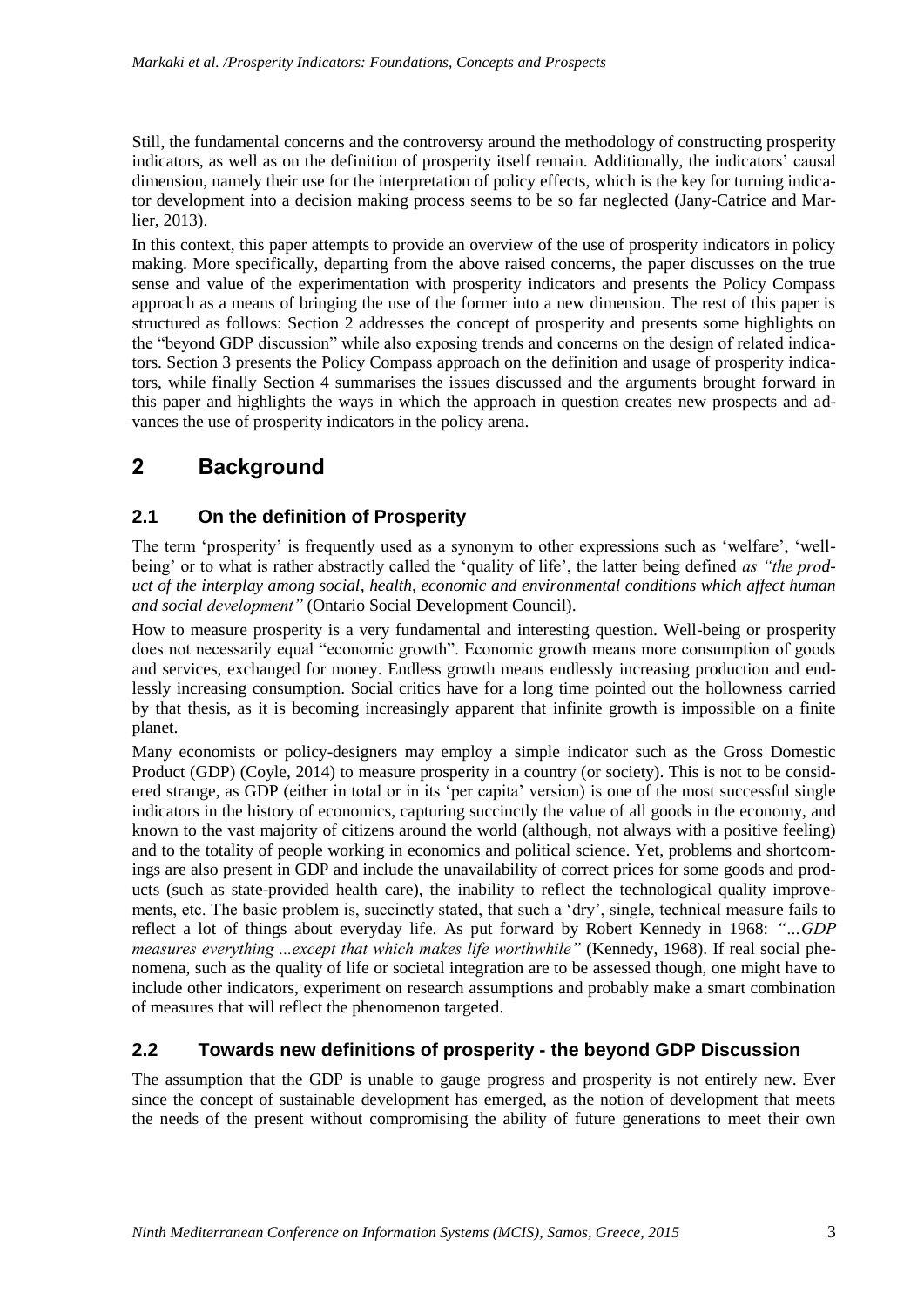Still, the fundamental concerns and the controversy around the methodology of constructing prosperity indicators, as well as on the definition of prosperity itself remain. Additionally, the indicators' causal dimension, namely their use for the interpretation of policy effects, which is the key for turning indicator development into a decision making process seems to be so far neglected (Jany-Catrice and Marlier, 2013).

In this context, this paper attempts to provide an overview of the use of prosperity indicators in policy making. More specifically, departing from the above raised concerns, the paper discusses on the true sense and value of the experimentation with prosperity indicators and presents the Policy Compass approach as a means of bringing the use of the former into a new dimension. The rest of this paper is structured as follows: Section 2 addresses the concept of prosperity and presents some highlights on the "beyond GDP discussion" while also exposing trends and concerns on the design of related indicators. Section 3 presents the Policy Compass approach on the definition and usage of prosperity indicators, while finally Section 4 summarises the issues discussed and the arguments brought forward in this paper and highlights the ways in which the approach in question creates new prospects and advances the use of prosperity indicators in the policy arena.

# **2 Background**

### **2.1 On the definition of Prosperity**

The term 'prosperity' is frequently used as a synonym to other expressions such as 'welfare', 'wellbeing' or to what is rather abstractly called the 'quality of life', the latter being defined *as "the product of the interplay among social, health, economic and environmental conditions which affect human and social development"* (Ontario Social Development Council).

How to measure prosperity is a very fundamental and interesting question. Well-being or prosperity does not necessarily equal "economic growth". Economic growth means more consumption of goods and services, exchanged for money. Endless growth means endlessly increasing production and endlessly increasing consumption. Social critics have for a long time pointed out the hollowness carried by that thesis, as it is becoming increasingly apparent that infinite growth is impossible on a finite planet.

Many economists or policy-designers may employ a simple indicator such as the Gross Domestic Product (GDP) (Coyle, 2014) to measure prosperity in a country (or society). This is not to be considered strange, as GDP (either in total or in its 'per capita' version) is one of the most successful single indicators in the history of economics, capturing succinctly the value of all goods in the economy, and known to the vast majority of citizens around the world (although, not always with a positive feeling) and to the totality of people working in economics and political science. Yet, problems and shortcomings are also present in GDP and include the unavailability of correct prices for some goods and products (such as state-provided health care), the inability to reflect the technological quality improvements, etc. The basic problem is, succinctly stated, that such a 'dry', single, technical measure fails to reflect a lot of things about everyday life. As put forward by Robert Kennedy in 1968: *"…GDP measures everything ...except that which makes life worthwhile"* (Kennedy, 1968). If real social phenomena, such as the quality of life or societal integration are to be assessed though, one might have to include other indicators, experiment on research assumptions and probably make a smart combination of measures that will reflect the phenomenon targeted.

#### **2.2 Towards new definitions of prosperity - the beyond GDP Discussion**

The assumption that the GDP is unable to gauge progress and prosperity is not entirely new. Ever since the concept of sustainable development has emerged, as the notion of development that meets the needs of the present without compromising the ability of future generations to meet their own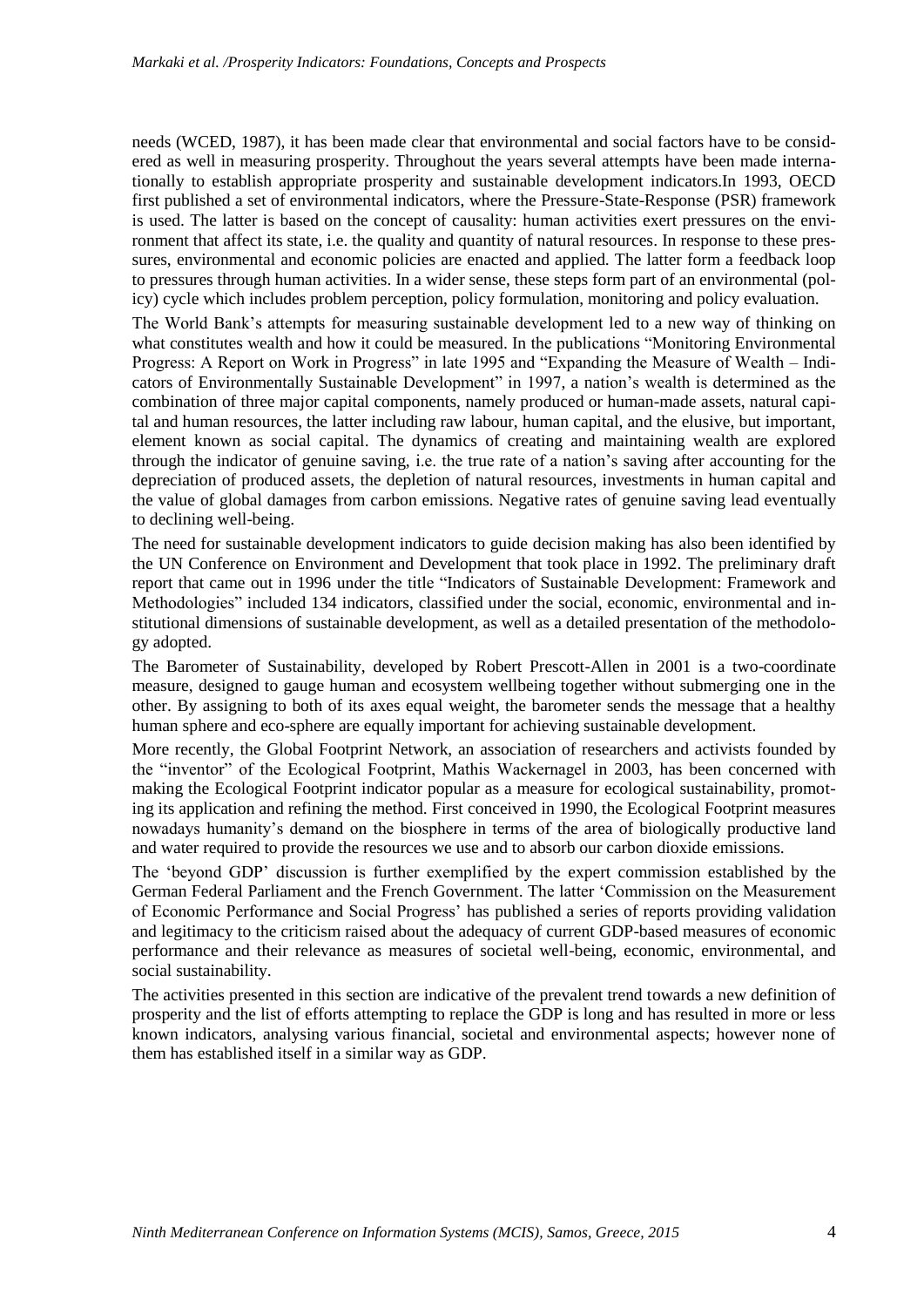needs (WCED, 1987), it has been made clear that environmental and social factors have to be considered as well in measuring prosperity. Throughout the years several attempts have been made internationally to establish appropriate prosperity and sustainable development indicators.In 1993, OECD first published a set of environmental indicators, where the Pressure-State-Response (PSR) framework is used. The latter is based on the concept of causality: human activities exert pressures on the environment that affect its state, i.e. the quality and quantity of natural resources. In response to these pressures, environmental and economic policies are enacted and applied. The latter form a feedback loop to pressures through human activities. In a wider sense, these steps form part of an environmental (policy) cycle which includes problem perception, policy formulation, monitoring and policy evaluation.

The World Bank's attempts for measuring sustainable development led to a new way of thinking on what constitutes wealth and how it could be measured. In the publications "Monitoring Environmental Progress: A Report on Work in Progress" in late 1995 and "Expanding the Measure of Wealth – Indicators of Environmentally Sustainable Development" in 1997, a nation's wealth is determined as the combination of three major capital components, namely produced or human-made assets, natural capital and human resources, the latter including raw labour, human capital, and the elusive, but important, element known as social capital. The dynamics of creating and maintaining wealth are explored through the indicator of genuine saving, i.e. the true rate of a nation's saving after accounting for the depreciation of produced assets, the depletion of natural resources, investments in human capital and the value of global damages from carbon emissions. Negative rates of genuine saving lead eventually to declining well-being.

The need for sustainable development indicators to guide decision making has also been identified by the UN Conference on Environment and Development that took place in 1992. The preliminary draft report that came out in 1996 under the title "Indicators of Sustainable Development: Framework and Methodologies" included 134 indicators, classified under the social, economic, environmental and institutional dimensions of sustainable development, as well as a detailed presentation of the methodology adopted.

The Barometer of Sustainability, developed by Robert Prescott-Allen in 2001 is a two-coordinate measure, designed to gauge human and ecosystem wellbeing together without submerging one in the other. By assigning to both of its axes equal weight, the barometer sends the message that a healthy human sphere and eco-sphere are equally important for achieving sustainable development.

More recently, the Global Footprint Network, an association of researchers and activists founded by the "inventor" of the Ecological Footprint, Mathis Wackernagel in 2003, has been concerned with making the Ecological Footprint indicator popular as a measure for ecological sustainability, promoting its application and refining the method. First conceived in 1990, the Ecological Footprint measures nowadays humanity's demand on the biosphere in terms of the area of biologically productive land and water required to provide the resources we use and to absorb our carbon dioxide emissions.

The 'beyond GDP' discussion is further exemplified by the expert commission established by the German Federal Parliament and the French Government. The latter 'Commission on the Measurement of Economic Performance and Social Progress' has published a series of reports providing validation and legitimacy to the criticism raised about the adequacy of current GDP-based measures of economic performance and their relevance as measures of societal well-being, economic, environmental, and social sustainability.

The activities presented in this section are indicative of the prevalent trend towards a new definition of prosperity and the list of efforts attempting to replace the GDP is long and has resulted in more or less known indicators, analysing various financial, societal and environmental aspects; however none of them has established itself in a similar way as GDP.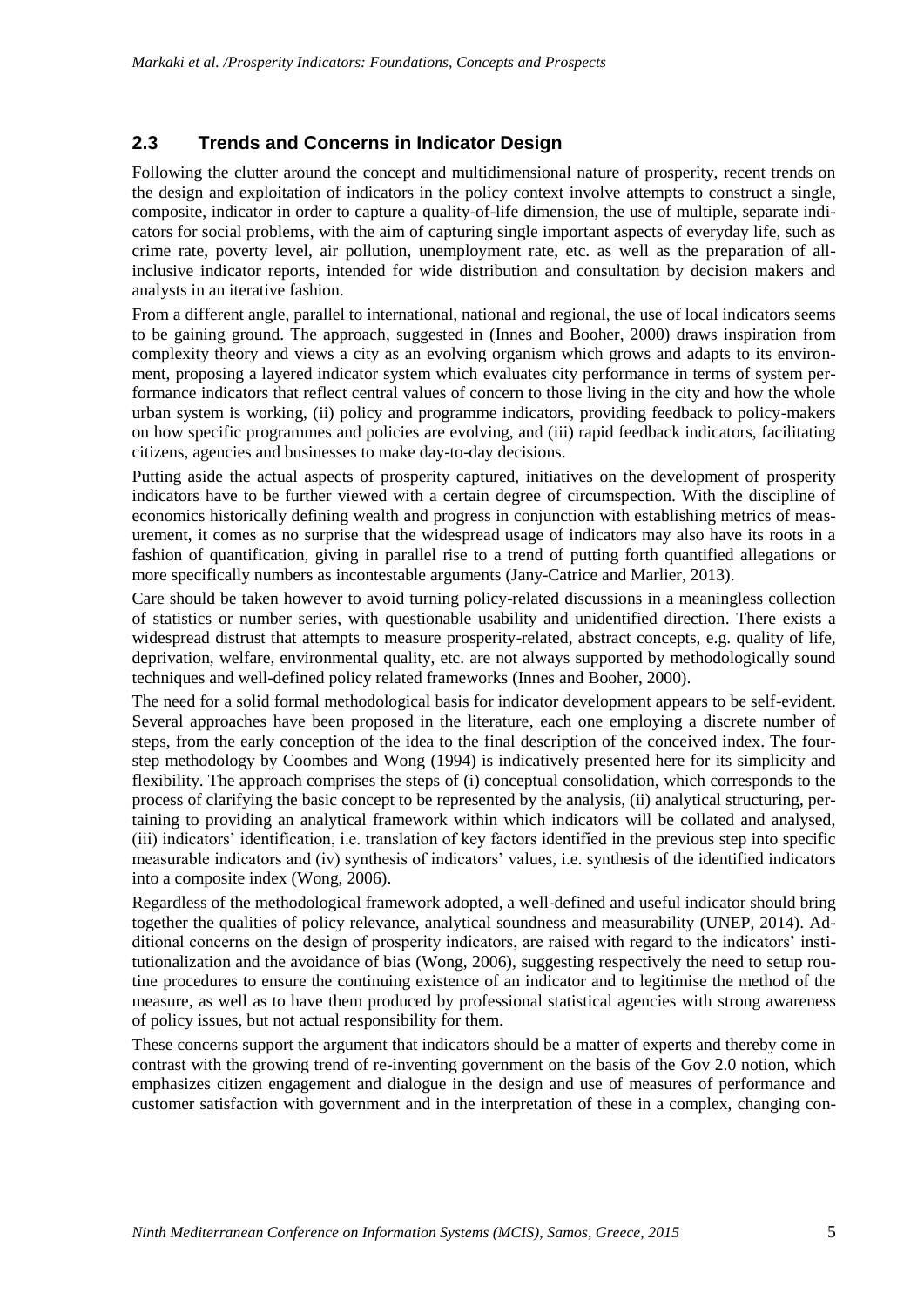### **2.3 Trends and Concerns in Indicator Design**

Following the clutter around the concept and multidimensional nature of prosperity, recent trends on the design and exploitation of indicators in the policy context involve attempts to construct a single, composite, indicator in order to capture a quality-of-life dimension, the use of multiple, separate indicators for social problems, with the aim of capturing single important aspects of everyday life, such as crime rate, poverty level, air pollution, unemployment rate, etc. as well as the preparation of allinclusive indicator reports, intended for wide distribution and consultation by decision makers and analysts in an iterative fashion.

From a different angle, parallel to international, national and regional, the use of local indicators seems to be gaining ground. The approach, suggested in (Innes and Booher, 2000) draws inspiration from complexity theory and views a city as an evolving organism which grows and adapts to its environment, proposing a layered indicator system which evaluates city performance in terms of system performance indicators that reflect central values of concern to those living in the city and how the whole urban system is working, (ii) policy and programme indicators, providing feedback to policy-makers on how specific programmes and policies are evolving, and (iii) rapid feedback indicators, facilitating citizens, agencies and businesses to make day-to-day decisions.

Putting aside the actual aspects of prosperity captured, initiatives on the development of prosperity indicators have to be further viewed with a certain degree of circumspection. With the discipline of economics historically defining wealth and progress in conjunction with establishing metrics of measurement, it comes as no surprise that the widespread usage of indicators may also have its roots in a fashion of quantification, giving in parallel rise to a trend of putting forth quantified allegations or more specifically numbers as incontestable arguments (Jany-Catrice and Marlier, 2013).

Care should be taken however to avoid turning policy-related discussions in a meaningless collection of statistics or number series, with questionable usability and unidentified direction. There exists a widespread distrust that attempts to measure prosperity-related, abstract concepts, e.g. quality of life, deprivation, welfare, environmental quality, etc. are not always supported by methodologically sound techniques and well-defined policy related frameworks (Innes and Booher, 2000).

The need for a solid formal methodological basis for indicator development appears to be self-evident. Several approaches have been proposed in the literature, each one employing a discrete number of steps, from the early conception of the idea to the final description of the conceived index. The fourstep methodology by Coombes and Wong (1994) is indicatively presented here for its simplicity and flexibility. The approach comprises the steps of (i) conceptual consolidation, which corresponds to the process of clarifying the basic concept to be represented by the analysis, (ii) analytical structuring, pertaining to providing an analytical framework within which indicators will be collated and analysed, (iii) indicators' identification, i.e. translation of key factors identified in the previous step into specific measurable indicators and (iv) synthesis of indicators' values, i.e. synthesis of the identified indicators into a composite index (Wong, 2006).

Regardless of the methodological framework adopted, a well-defined and useful indicator should bring together the qualities of policy relevance, analytical soundness and measurability (UNEP, 2014). Additional concerns on the design of prosperity indicators, are raised with regard to the indicators' institutionalization and the avoidance of bias (Wong, 2006), suggesting respectively the need to setup routine procedures to ensure the continuing existence of an indicator and to legitimise the method of the measure, as well as to have them produced by professional statistical agencies with strong awareness of policy issues, but not actual responsibility for them.

These concerns support the argument that indicators should be a matter of experts and thereby come in contrast with the growing trend of re-inventing government on the basis of the Gov 2.0 notion, which emphasizes citizen engagement and dialogue in the design and use of measures of performance and customer satisfaction with government and in the interpretation of these in a complex, changing con-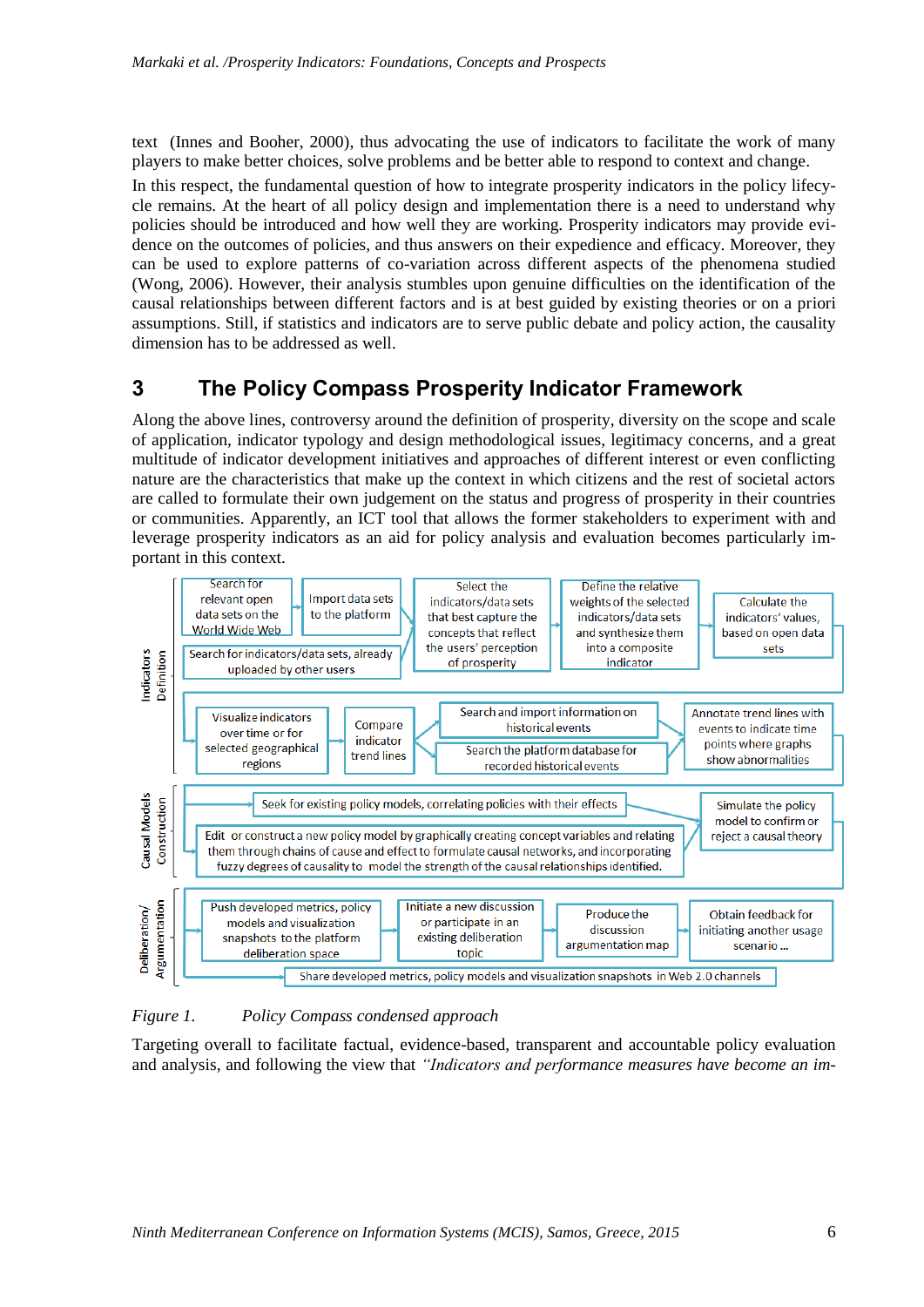text (Innes and Booher, 2000), thus advocating the use of indicators to facilitate the work of many players to make better choices, solve problems and be better able to respond to context and change.

In this respect, the fundamental question of how to integrate prosperity indicators in the policy lifecycle remains. At the heart of all policy design and implementation there is a need to understand why policies should be introduced and how well they are working. Prosperity indicators may provide evidence on the outcomes of policies, and thus answers on their expedience and efficacy. Moreover, they can be used to explore patterns of co-variation across different aspects of the phenomena studied (Wong, 2006). However, their analysis stumbles upon genuine difficulties on the identification of the causal relationships between different factors and is at best guided by existing theories or on a priori assumptions. Still, if statistics and indicators are to serve public debate and policy action, the causality dimension has to be addressed as well.

### **3 The Policy Compass Prosperity Indicator Framework**

Along the above lines, controversy around the definition of prosperity, diversity on the scope and scale of application, indicator typology and design methodological issues, legitimacy concerns, and a great multitude of indicator development initiatives and approaches of different interest or even conflicting nature are the characteristics that make up the context in which citizens and the rest of societal actors are called to formulate their own judgement on the status and progress of prosperity in their countries or communities. Apparently, an ICT tool that allows the former stakeholders to experiment with and leverage prosperity indicators as an aid for policy analysis and evaluation becomes particularly important in this context.



#### *Figure 1. Policy Compass condensed approach*

Targeting overall to facilitate factual, evidence-based, transparent and accountable policy evaluation and analysis, and following the view that *"Indicators and performance measures have become an im-*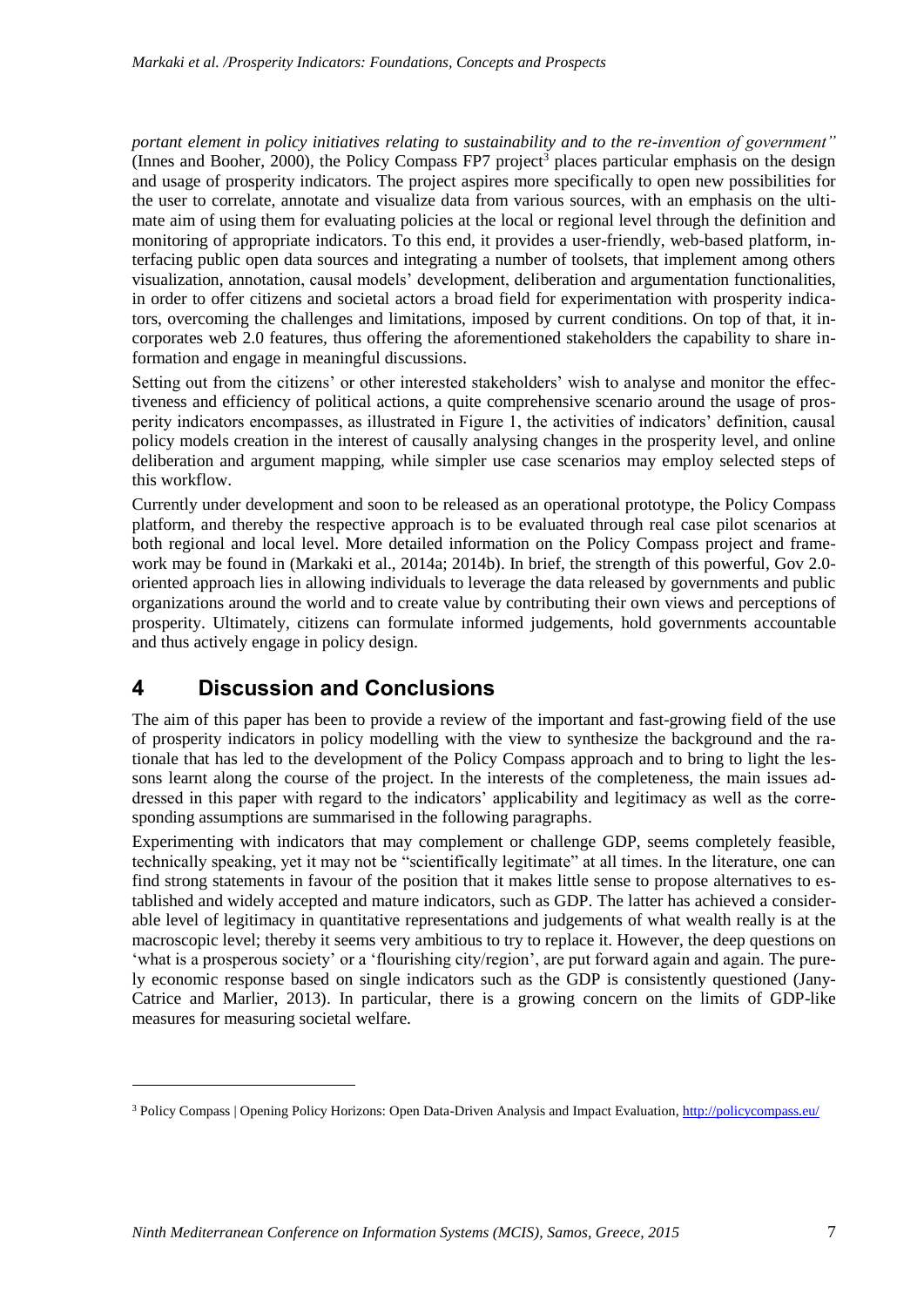*portant element in policy initiatives relating to sustainability and to the re-invention of government"* (Innes and Booher, 2000), the Policy Compass FP7 project<sup>3</sup> places particular emphasis on the design and usage of prosperity indicators. The project aspires more specifically to open new possibilities for the user to correlate, annotate and visualize data from various sources, with an emphasis on the ultimate aim of using them for evaluating policies at the local or regional level through the definition and monitoring of appropriate indicators. To this end, it provides a user-friendly, web-based platform, interfacing public open data sources and integrating a number of toolsets, that implement among others visualization, annotation, causal models' development, deliberation and argumentation functionalities, in order to offer citizens and societal actors a broad field for experimentation with prosperity indicators, overcoming the challenges and limitations, imposed by current conditions. On top of that, it incorporates web 2.0 features, thus offering the aforementioned stakeholders the capability to share information and engage in meaningful discussions.

Setting out from the citizens' or other interested stakeholders' wish to analyse and monitor the effectiveness and efficiency of political actions, a quite comprehensive scenario around the usage of prosperity indicators encompasses, as illustrated in Figure 1, the activities of indicators' definition, causal policy models creation in the interest of causally analysing changes in the prosperity level, and online deliberation and argument mapping, while simpler use case scenarios may employ selected steps of this workflow.

Currently under development and soon to be released as an operational prototype, the Policy Compass platform, and thereby the respective approach is to be evaluated through real case pilot scenarios at both regional and local level. More detailed information on the Policy Compass project and framework may be found in (Markaki et al., 2014a; 2014b). In brief, the strength of this powerful, Gov 2.0 oriented approach lies in allowing individuals to leverage the data released by governments and public organizations around the world and to create value by contributing their own views and perceptions of prosperity. Ultimately, citizens can formulate informed judgements, hold governments accountable and thus actively engage in policy design.

# **4 Discussion and Conclusions**

-

The aim of this paper has been to provide a review of the important and fast-growing field of the use of prosperity indicators in policy modelling with the view to synthesize the background and the rationale that has led to the development of the Policy Compass approach and to bring to light the lessons learnt along the course of the project. In the interests of the completeness, the main issues addressed in this paper with regard to the indicators' applicability and legitimacy as well as the corresponding assumptions are summarised in the following paragraphs.

Experimenting with indicators that may complement or challenge GDP, seems completely feasible, technically speaking, yet it may not be "scientifically legitimate" at all times. In the literature, one can find strong statements in favour of the position that it makes little sense to propose alternatives to established and widely accepted and mature indicators, such as GDP. The latter has achieved a considerable level of legitimacy in quantitative representations and judgements of what wealth really is at the macroscopic level; thereby it seems very ambitious to try to replace it. However, the deep questions on 'what is a prosperous society' or a 'flourishing city/region', are put forward again and again. The purely economic response based on single indicators such as the GDP is consistently questioned (Jany-Catrice and Marlier, 2013). In particular, there is a growing concern on the limits of GDP-like measures for measuring societal welfare.

<sup>&</sup>lt;sup>3</sup> Policy Compass | Opening Policy Horizons: Open Data-Driven Analysis and Impact Evaluation,<http://policycompass.eu/>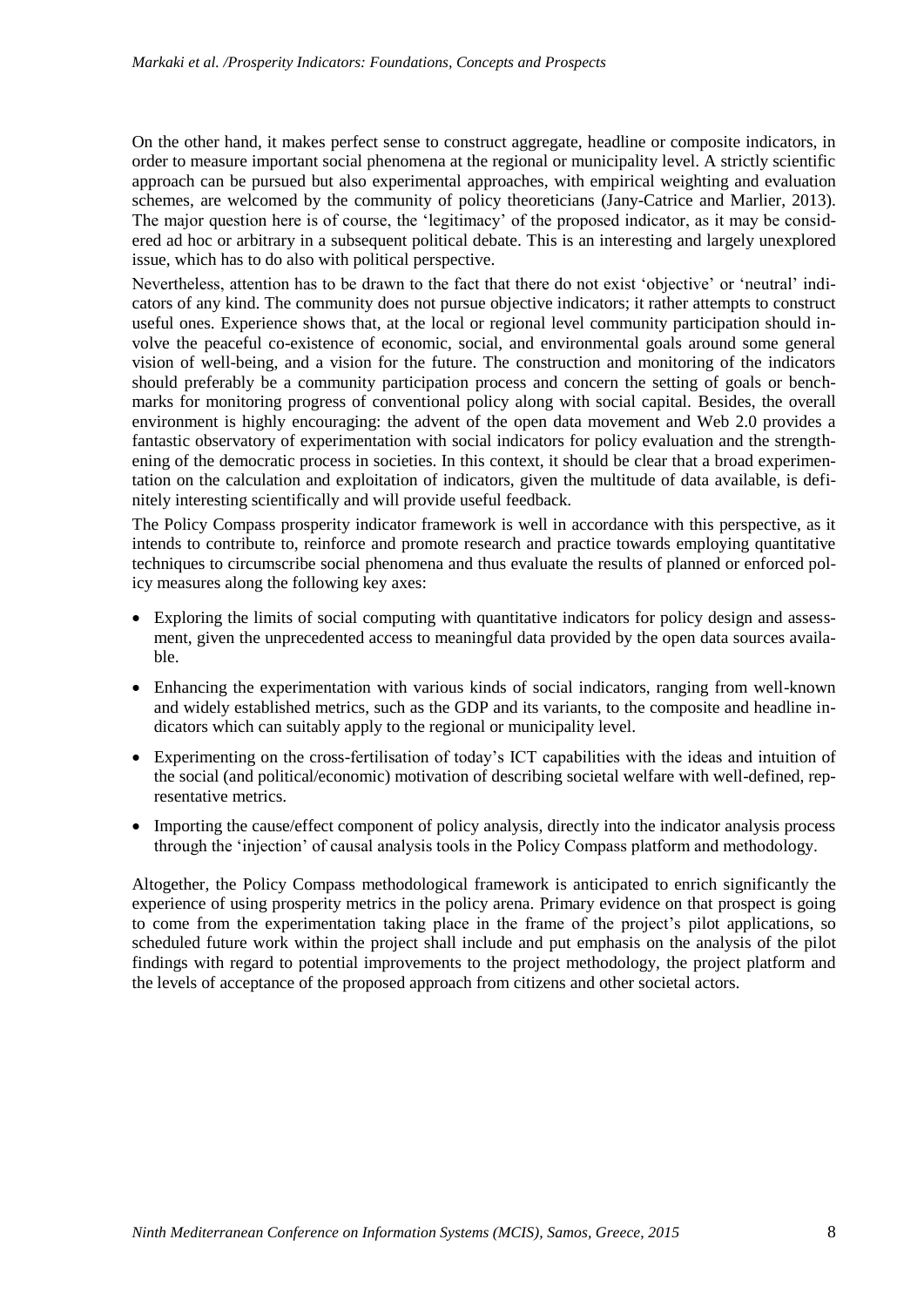On the other hand, it makes perfect sense to construct aggregate, headline or composite indicators, in order to measure important social phenomena at the regional or municipality level. A strictly scientific approach can be pursued but also experimental approaches, with empirical weighting and evaluation schemes, are welcomed by the community of policy theoreticians (Jany-Catrice and Marlier, 2013). The major question here is of course, the 'legitimacy' of the proposed indicator, as it may be considered ad hoc or arbitrary in a subsequent political debate. This is an interesting and largely unexplored issue, which has to do also with political perspective.

Nevertheless, attention has to be drawn to the fact that there do not exist 'objective' or 'neutral' indicators of any kind. The community does not pursue objective indicators; it rather attempts to construct useful ones. Experience shows that, at the local or regional level community participation should involve the peaceful co-existence of economic, social, and environmental goals around some general vision of well-being, and a vision for the future. The construction and monitoring of the indicators should preferably be a community participation process and concern the setting of goals or benchmarks for monitoring progress of conventional policy along with social capital. Besides, the overall environment is highly encouraging: the advent of the open data movement and Web 2.0 provides a fantastic observatory of experimentation with social indicators for policy evaluation and the strengthening of the democratic process in societies. In this context, it should be clear that a broad experimentation on the calculation and exploitation of indicators, given the multitude of data available, is definitely interesting scientifically and will provide useful feedback.

The Policy Compass prosperity indicator framework is well in accordance with this perspective, as it intends to contribute to, reinforce and promote research and practice towards employing quantitative techniques to circumscribe social phenomena and thus evaluate the results of planned or enforced policy measures along the following key axes:

- Exploring the limits of social computing with quantitative indicators for policy design and assessment, given the unprecedented access to meaningful data provided by the open data sources available.
- Enhancing the experimentation with various kinds of social indicators, ranging from well-known and widely established metrics, such as the GDP and its variants, to the composite and headline indicators which can suitably apply to the regional or municipality level.
- Experimenting on the cross-fertilisation of today's ICT capabilities with the ideas and intuition of the social (and political/economic) motivation of describing societal welfare with well-defined, representative metrics.
- Importing the cause/effect component of policy analysis, directly into the indicator analysis process through the 'injection' of causal analysis tools in the Policy Compass platform and methodology.

Altogether, the Policy Compass methodological framework is anticipated to enrich significantly the experience of using prosperity metrics in the policy arena. Primary evidence on that prospect is going to come from the experimentation taking place in the frame of the project's pilot applications, so scheduled future work within the project shall include and put emphasis on the analysis of the pilot findings with regard to potential improvements to the project methodology, the project platform and the levels of acceptance of the proposed approach from citizens and other societal actors.